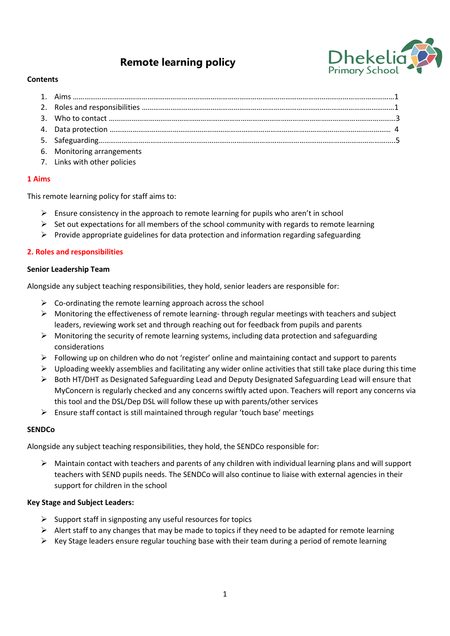# **Remote learning policy**



## **Contents**

| 6. Monitoring arrangements |  |
|----------------------------|--|

7. Links with other policies

## **1 Aims**

This remote learning policy for staff aims to:

- $\triangleright$  Ensure consistency in the approach to remote learning for pupils who aren't in school
- $\triangleright$  Set out expectations for all members of the school community with regards to remote learning
- $\triangleright$  Provide appropriate guidelines for data protection and information regarding safeguarding

## **2. Roles and responsibilities**

#### **Senior Leadership Team**

Alongside any subject teaching responsibilities, they hold, senior leaders are responsible for:

- $\triangleright$  Co-ordinating the remote learning approach across the school
- $\triangleright$  Monitoring the effectiveness of remote learning- through regular meetings with teachers and subject leaders, reviewing work set and through reaching out for feedback from pupils and parents
- $\triangleright$  Monitoring the security of remote learning systems, including data protection and safeguarding considerations
- $\triangleright$  Following up on children who do not 'register' online and maintaining contact and support to parents
- $\triangleright$  Uploading weekly assemblies and facilitating any wider online activities that still take place during this time
- ➢ Both HT/DHT as Designated Safeguarding Lead and Deputy Designated Safeguarding Lead will ensure that MyConcern is regularly checked and any concerns swiftly acted upon. Teachers will report any concerns via this tool and the DSL/Dep DSL will follow these up with parents/other services
- $\triangleright$  Ensure staff contact is still maintained through regular 'touch base' meetings

#### **SENDCo**

Alongside any subject teaching responsibilities, they hold, the SENDCo responsible for:

 $\triangleright$  Maintain contact with teachers and parents of any children with individual learning plans and will support teachers with SEND pupils needs. The SENDCo will also continue to liaise with external agencies in their support for children in the school

#### **Key Stage and Subject Leaders:**

- $\triangleright$  Support staff in signposting any useful resources for topics
- $\triangleright$  Alert staff to any changes that may be made to topics if they need to be adapted for remote learning
- ➢ Key Stage leaders ensure regular touching base with their team during a period of remote learning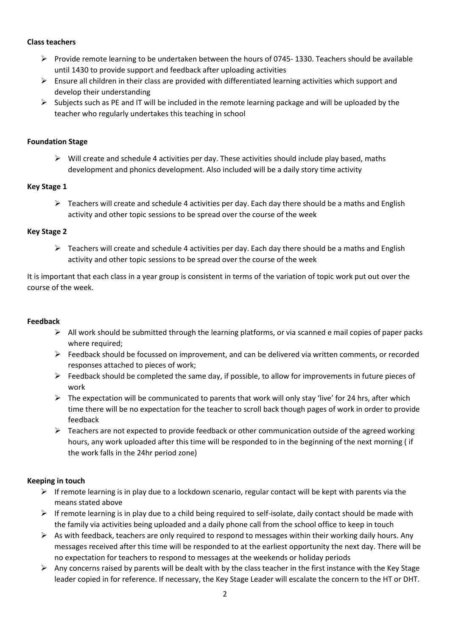## **Class teachers**

- ➢ Provide remote learning to be undertaken between the hours of 0745- 1330. Teachers should be available until 1430 to provide support and feedback after uploading activities
- $\triangleright$  Ensure all children in their class are provided with differentiated learning activities which support and develop their understanding
- $\triangleright$  Subjects such as PE and IT will be included in the remote learning package and will be uploaded by the teacher who regularly undertakes this teaching in school

## **Foundation Stage**

 $\triangleright$  Will create and schedule 4 activities per day. These activities should include play based, maths development and phonics development. Also included will be a daily story time activity

#### **Key Stage 1**

 $\triangleright$  Teachers will create and schedule 4 activities per day. Each day there should be a maths and English activity and other topic sessions to be spread over the course of the week

## **Key Stage 2**

 $\triangleright$  Teachers will create and schedule 4 activities per day. Each day there should be a maths and English activity and other topic sessions to be spread over the course of the week

It is important that each class in a year group is consistent in terms of the variation of topic work put out over the course of the week.

#### **Feedback**

- $\triangleright$  All work should be submitted through the learning platforms, or via scanned e mail copies of paper packs where required;
- $\triangleright$  Feedback should be focussed on improvement, and can be delivered via written comments, or recorded responses attached to pieces of work;
- ➢ Feedback should be completed the same day, if possible, to allow for improvements in future pieces of work
- $\triangleright$  The expectation will be communicated to parents that work will only stay 'live' for 24 hrs, after which time there will be no expectation for the teacher to scroll back though pages of work in order to provide feedback
- $\triangleright$  Teachers are not expected to provide feedback or other communication outside of the agreed working hours, any work uploaded after this time will be responded to in the beginning of the next morning ( if the work falls in the 24hr period zone)

# **Keeping in touch**

- $\triangleright$  If remote learning is in play due to a lockdown scenario, regular contact will be kept with parents via the means stated above
- $\triangleright$  If remote learning is in play due to a child being required to self-isolate, daily contact should be made with the family via activities being uploaded and a daily phone call from the school office to keep in touch
- $\triangleright$  As with feedback, teachers are only required to respond to messages within their working daily hours. Any messages received after this time will be responded to at the earliest opportunity the next day. There will be no expectation for teachers to respond to messages at the weekends or holiday periods
- $\triangleright$  Any concerns raised by parents will be dealt with by the class teacher in the first instance with the Key Stage leader copied in for reference. If necessary, the Key Stage Leader will escalate the concern to the HT or DHT.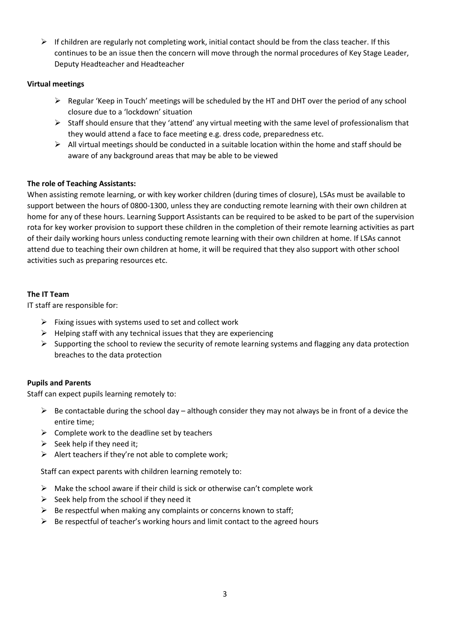$\triangleright$  If children are regularly not completing work, initial contact should be from the class teacher. If this continues to be an issue then the concern will move through the normal procedures of Key Stage Leader, Deputy Headteacher and Headteacher

# **Virtual meetings**

- $\triangleright$  Regular 'Keep in Touch' meetings will be scheduled by the HT and DHT over the period of any school closure due to a 'lockdown' situation
- $\triangleright$  Staff should ensure that they 'attend' any virtual meeting with the same level of professionalism that they would attend a face to face meeting e.g. dress code, preparedness etc.
- $\triangleright$  All virtual meetings should be conducted in a suitable location within the home and staff should be aware of any background areas that may be able to be viewed

# **The role of Teaching Assistants:**

When assisting remote learning, or with key worker children (during times of closure), LSAs must be available to support between the hours of 0800-1300, unless they are conducting remote learning with their own children at home for any of these hours. Learning Support Assistants can be required to be asked to be part of the supervision rota for key worker provision to support these children in the completion of their remote learning activities as part of their daily working hours unless conducting remote learning with their own children at home. If LSAs cannot attend due to teaching their own children at home, it will be required that they also support with other school activities such as preparing resources etc.

# **The IT Team**

IT staff are responsible for:

- $\triangleright$  Fixing issues with systems used to set and collect work
- $\triangleright$  Helping staff with any technical issues that they are experiencing
- $\triangleright$  Supporting the school to review the security of remote learning systems and flagging any data protection breaches to the data protection

# **Pupils and Parents**

Staff can expect pupils learning remotely to:

- $\triangleright$  Be contactable during the school day although consider they may not always be in front of a device the entire time;
- $\triangleright$  Complete work to the deadline set by teachers
- $\triangleright$  Seek help if they need it:
- $\triangleright$  Alert teachers if they're not able to complete work;

Staff can expect parents with children learning remotely to:

- $\triangleright$  Make the school aware if their child is sick or otherwise can't complete work
- $\triangleright$  Seek help from the school if they need it
- $\triangleright$  Be respectful when making any complaints or concerns known to staff:
- $\triangleright$  Be respectful of teacher's working hours and limit contact to the agreed hours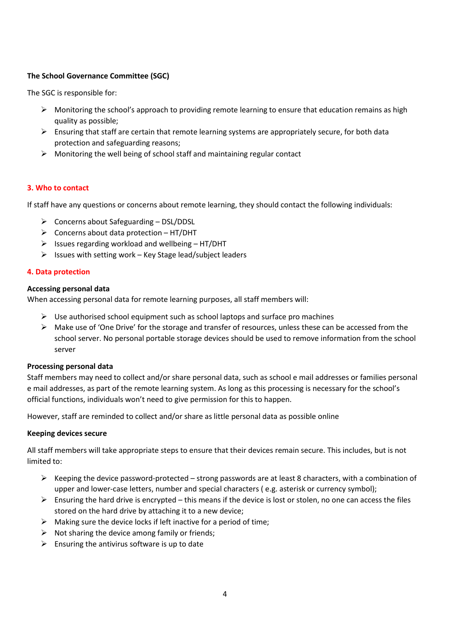# **The School Governance Committee (SGC)**

The SGC is responsible for:

- $\triangleright$  Monitoring the school's approach to providing remote learning to ensure that education remains as high quality as possible;
- $\triangleright$  Ensuring that staff are certain that remote learning systems are appropriately secure, for both data protection and safeguarding reasons;
- $\triangleright$  Monitoring the well being of school staff and maintaining regular contact

# **3. Who to contact**

If staff have any questions or concerns about remote learning, they should contact the following individuals:

- ➢ Concerns about Safeguarding DSL/DDSL
- $\triangleright$  Concerns about data protection HT/DHT
- $\triangleright$  Issues regarding workload and wellbeing HT/DHT
- $\triangleright$  Issues with setting work Key Stage lead/subject leaders

## **4. Data protection**

## **Accessing personal data**

When accessing personal data for remote learning purposes, all staff members will:

- $\triangleright$  Use authorised school equipment such as school laptops and surface pro machines
- ➢ Make use of 'One Drive' for the storage and transfer of resources, unless these can be accessed from the school server. No personal portable storage devices should be used to remove information from the school server

#### **Processing personal data**

Staff members may need to collect and/or share personal data, such as school e mail addresses or families personal e mail addresses, as part of the remote learning system. As long as this processing is necessary for the school's official functions, individuals won't need to give permission for this to happen.

However, staff are reminded to collect and/or share as little personal data as possible online

#### **Keeping devices secure**

All staff members will take appropriate steps to ensure that their devices remain secure. This includes, but is not limited to:

- $\triangleright$  Keeping the device password-protected strong passwords are at least 8 characters, with a combination of upper and lower-case letters, number and special characters ( e.g. asterisk or currency symbol);
- $\triangleright$  Ensuring the hard drive is encrypted this means if the device is lost or stolen, no one can access the files stored on the hard drive by attaching it to a new device;
- $\triangleright$  Making sure the device locks if left inactive for a period of time;
- $\triangleright$  Not sharing the device among family or friends;
- $\triangleright$  Ensuring the antivirus software is up to date